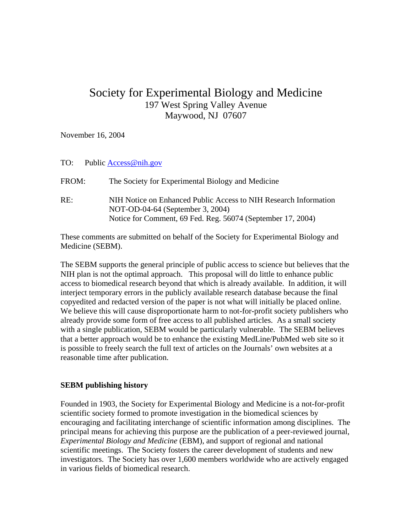# Society for Experimental Biology and Medicine 197 West Spring Valley Avenue Maywood, NJ 07607

November 16, 2004

## TO: Public [Access@nih.gov](mailto:Access@nih.gov)

FROM: The Society for Experimental Biology and Medicine RE: NIH Notice on Enhanced Public Access to NIH Research Information NOT-OD-04-64 (September 3, 2004) Notice for Comment, 69 Fed. Reg. 56074 (September 17, 2004)

These comments are submitted on behalf of the Society for Experimental Biology and Medicine (SEBM).

The SEBM supports the general principle of public access to science but believes that the NIH plan is not the optimal approach. This proposal will do little to enhance public access to biomedical research beyond that which is already available. In addition, it will interject temporary errors in the publicly available research database because the final copyedited and redacted version of the paper is not what will initially be placed online. We believe this will cause disproportionate harm to not-for-profit society publishers who already provide some form of free access to all published articles. As a small society with a single publication, SEBM would be particularly vulnerable. The SEBM believes that a better approach would be to enhance the existing MedLine/PubMed web site so it is possible to freely search the full text of articles on the Journals' own websites at a reasonable time after publication.

## **SEBM publishing history**

Founded in 1903, the Society for Experimental Biology and Medicine is a not-for-profit scientific society formed to promote investigation in the biomedical sciences by encouraging and facilitating interchange of scientific information among disciplines. The principal means for achieving this purpose are the publication of a peer-reviewed journal, *Experimental Biology and Medicine* (EBM), and support of regional and national scientific meetings. The Society fosters the career development of students and new investigators. The Society has over 1,600 members worldwide who are actively engaged in various fields of biomedical research.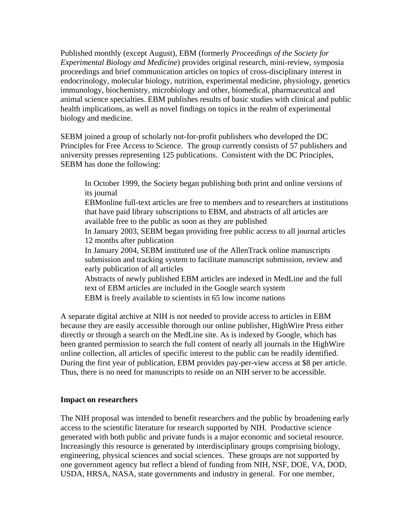Published monthly (except August), EBM (formerly *Proceedings of the Society for Experimental Biology and Medicine*) provides original research, mini-review, symposia proceedings and brief communication articles on topics of cross-disciplinary interest in endocrinology, molecular biology, nutrition, experimental medicine, physiology, genetics immunology, biochemistry, microbiology and other, biomedical, pharmaceutical and animal science specialties. EBM publishes results of basic studies with clinical and public health implications, as well as novel findings on topics in the realm of experimental biology and medicine.

SEBM joined a group of scholarly not-for-profit publishers who developed the DC Principles for Free Access to Science. The group currently consists of 57 publishers and university presses representing 125 publications. Consistent with the DC Principles, SEBM has done the following:

In October 1999, the Society began publishing both print and online versions of its journal

EBMonline full-text articles are free to members and to researchers at institutions that have paid library subscriptions to EBM, and abstracts of all articles are available free to the public as soon as they are published

In January 2003, SEBM began providing free public access to all journal articles 12 months after publication

In January 2004, SEBM instituted use of the AllenTrack online manuscripts submission and tracking system to facilitate manuscript submission, review and early publication of all articles

Abstracts of newly published EBM articles are indexed in MedLine and the full text of EBM articles are included in the Google search system EBM is freely available to scientists in 65 low income nations

A separate digital archive at NIH is not needed to provide access to articles in EBM because they are easily accessible thorough our online publisher, HighWire Press either directly or through a search on the MedLine site. As is indexed by Google, which has been granted permission to search the full content of nearly all journals in the HighWire online collection, all articles of specific interest to the public can be readily identified. During the first year of publication, EBM provides pay-per-view access at \$8 per article. Thus, there is no need for manuscripts to reside on an NIH server to be accessible.

## **Impact on researchers**

The NIH proposal was intended to benefit researchers and the public by broadening early access to the scientific literature for research supported by NIH. Productive science generated with both public and private funds is a major economic and societal resource. Increasingly this resource is generated by interdisciplinary groups comprising biology, engineering, physical sciences and social sciences. These groups are not supported by one government agency but reflect a blend of funding from NIH, NSF, DOE, VA, DOD, USDA, HRSA, NASA, state governments and industry in general. For one member,